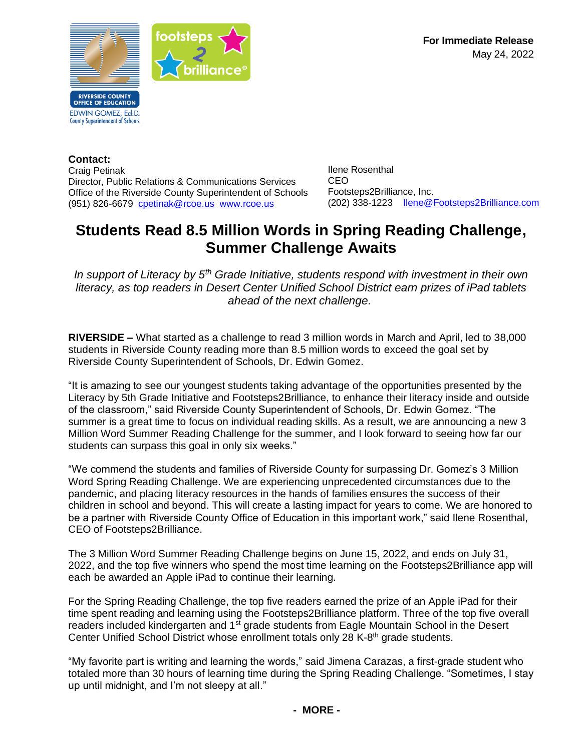**For Immediate Release** May 24, 2022



**Contact:** Craig Petinak Director, Public Relations & Communications Services Office of the Riverside County Superintendent of Schools (951) 826-6679 [cpetinak@rcoe.us](mailto:cpetinak@rcoe.us) [www.rcoe.us](http://www.rcoe.us/)

Ilene Rosenthal CEO Footsteps2Brilliance, Inc. (202) 338-1223 [Ilene@Footsteps2Brilliance.com](mailto:Ilene@Footsteps2Brilliance.com)

# **Students Read 8.5 Million Words in Spring Reading Challenge, Summer Challenge Awaits**

*In support of Literacy by 5th Grade Initiative, students respond with investment in their own literacy, as top readers in Desert Center Unified School District earn prizes of iPad tablets ahead of the next challenge.*

**RIVERSIDE –** What started as a challenge to read 3 million words in March and April, led to 38,000 students in Riverside County reading more than 8.5 million words to exceed the goal set by Riverside County Superintendent of Schools, Dr. Edwin Gomez.

"It is amazing to see our youngest students taking advantage of the opportunities presented by the Literacy by 5th Grade Initiative and Footsteps2Brilliance, to enhance their literacy inside and outside of the classroom," said Riverside County Superintendent of Schools, Dr. Edwin Gomez. "The summer is a great time to focus on individual reading skills. As a result, we are announcing a new 3 Million Word Summer Reading Challenge for the summer, and I look forward to seeing how far our students can surpass this goal in only six weeks."

"We commend the students and families of Riverside County for surpassing Dr. Gomez's 3 Million Word Spring Reading Challenge. We are experiencing unprecedented circumstances due to the pandemic, and placing literacy resources in the hands of families ensures the success of their children in school and beyond. This will create a lasting impact for years to come. We are honored to be a partner with Riverside County Office of Education in this important work," said Ilene Rosenthal, CEO of Footsteps2Brilliance.

The 3 Million Word Summer Reading Challenge begins on June 15, 2022, and ends on July 31, 2022, and the top five winners who spend the most time learning on the Footsteps2Brilliance app will each be awarded an Apple iPad to continue their learning.

For the Spring Reading Challenge, the top five readers earned the prize of an Apple iPad for their time spent reading and learning using the Footsteps2Brilliance platform. Three of the top five overall readers included kindergarten and 1<sup>st</sup> grade students from Eagle Mountain School in the Desert Center Unified School District whose enrollment totals only 28 K-8<sup>th</sup> grade students.

"My favorite part is writing and learning the words," said Jimena Carazas, a first-grade student who totaled more than 30 hours of learning time during the Spring Reading Challenge. "Sometimes, I stay up until midnight, and I'm not sleepy at all."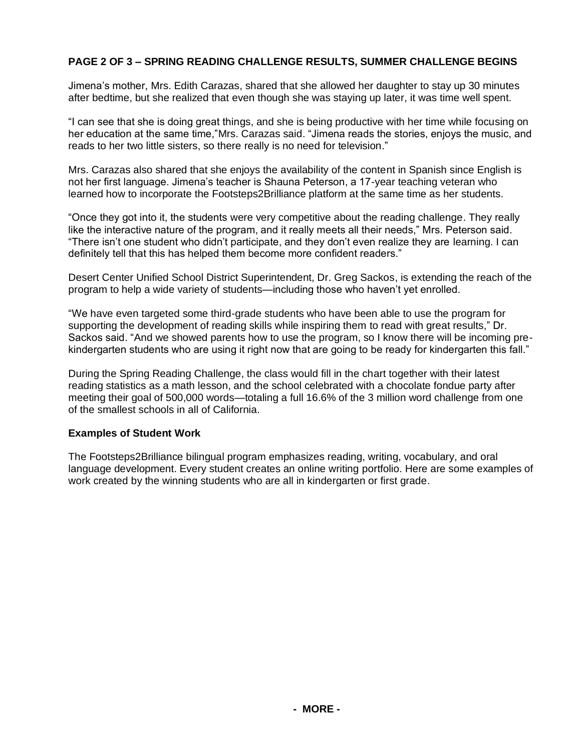## **PAGE 2 OF 3 – SPRING READING CHALLENGE RESULTS, SUMMER CHALLENGE BEGINS**

Jimena's mother, Mrs. Edith Carazas, shared that she allowed her daughter to stay up 30 minutes after bedtime, but she realized that even though she was staying up later, it was time well spent.

"I can see that she is doing great things, and she is being productive with her time while focusing on her education at the same time,"Mrs. Carazas said. "Jimena reads the stories, enjoys the music, and reads to her two little sisters, so there really is no need for television."

Mrs. Carazas also shared that she enjoys the availability of the content in Spanish since English is not her first language. Jimena's teacher is Shauna Peterson, a 17-year teaching veteran who learned how to incorporate the Footsteps2Brilliance platform at the same time as her students.

"Once they got into it, the students were very competitive about the reading challenge. They really like the interactive nature of the program, and it really meets all their needs," Mrs. Peterson said. "There isn't one student who didn't participate, and they don't even realize they are learning. I can definitely tell that this has helped them become more confident readers."

Desert Center Unified School District Superintendent, Dr. Greg Sackos, is extending the reach of the program to help a wide variety of students—including those who haven't yet enrolled.

"We have even targeted some third-grade students who have been able to use the program for supporting the development of reading skills while inspiring them to read with great results," Dr. Sackos said. "And we showed parents how to use the program, so I know there will be incoming prekindergarten students who are using it right now that are going to be ready for kindergarten this fall."

During the Spring Reading Challenge, the class would fill in the chart together with their latest reading statistics as a math lesson, and the school celebrated with a chocolate fondue party after meeting their goal of 500,000 words—totaling a full 16.6% of the 3 million word challenge from one of the smallest schools in all of California.

## **Examples of Student Work**

The Footsteps2Brilliance bilingual program emphasizes reading, writing, vocabulary, and oral language development. Every student creates an online writing portfolio. Here are some examples of work created by the winning students who are all in kindergarten or first grade.